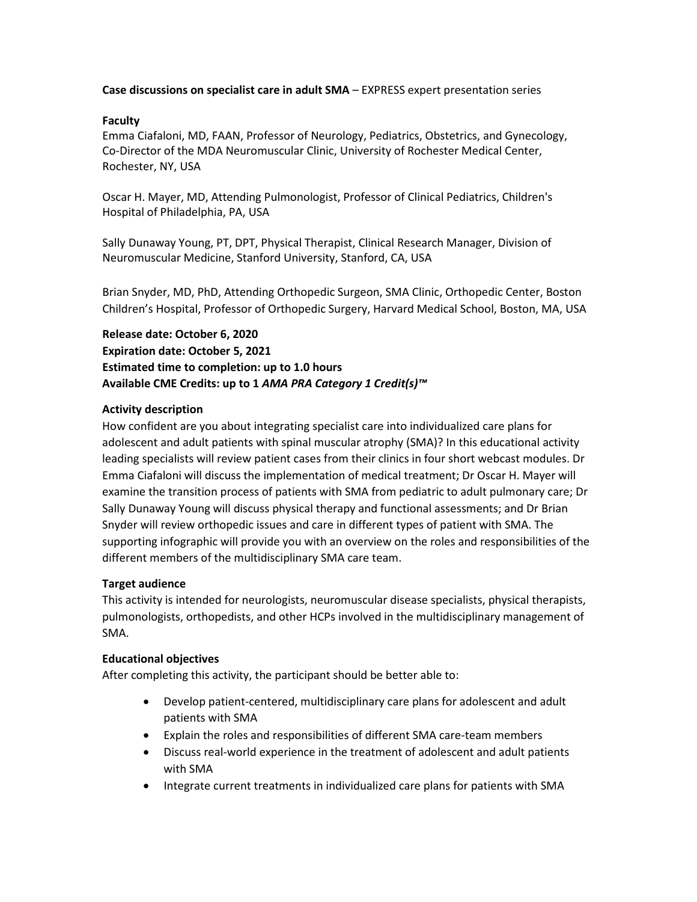**Case discussions on specialist care in adult SMA** – EXPRESS expert presentation series

## **Faculty**

Emma Ciafaloni, MD, FAAN, Professor of Neurology, Pediatrics, Obstetrics, and Gynecology, Co-Director of the MDA Neuromuscular Clinic, University of Rochester Medical Center, Rochester, NY, USA

Oscar H. Mayer, MD, Attending Pulmonologist, Professor of Clinical Pediatrics, Children's Hospital of Philadelphia, PA, USA

Sally Dunaway Young, PT, DPT, Physical Therapist, Clinical Research Manager, Division of Neuromuscular Medicine, Stanford University, Stanford, CA, USA

Brian Snyder, MD, PhD, Attending Orthopedic Surgeon, SMA Clinic, Orthopedic Center, Boston Children's Hospital, Professor of Orthopedic Surgery, Harvard Medical School, Boston, MA, USA

**Release date: October 6, 2020 Expiration date: October 5, 2021 Estimated time to completion: up to 1.0 hours Available CME Credits: up to 1** *AMA PRA Category 1 Credit(s)™*

# **Activity description**

How confident are you about integrating specialist care into individualized care plans for adolescent and adult patients with spinal muscular atrophy (SMA)? In this educational activity leading specialists will review patient cases from their clinics in four short webcast modules. Dr Emma Ciafaloni will discuss the implementation of medical treatment; Dr Oscar H. Mayer will examine the transition process of patients with SMA from pediatric to adult pulmonary care; Dr Sally Dunaway Young will discuss physical therapy and functional assessments; and Dr Brian Snyder will review orthopedic issues and care in different types of patient with SMA. The supporting infographic will provide you with an overview on the roles and responsibilities of the different members of the multidisciplinary SMA care team.

# **Target audience**

This activity is intended for neurologists, neuromuscular disease specialists, physical therapists, pulmonologists, orthopedists, and other HCPs involved in the multidisciplinary management of SMA.

### **Educational objectives**

After completing this activity, the participant should be better able to:

- Develop patient-centered, multidisciplinary care plans for adolescent and adult patients with SMA
- Explain the roles and responsibilities of different SMA care-team members
- Discuss real-world experience in the treatment of adolescent and adult patients with SMA
- Integrate current treatments in individualized care plans for patients with SMA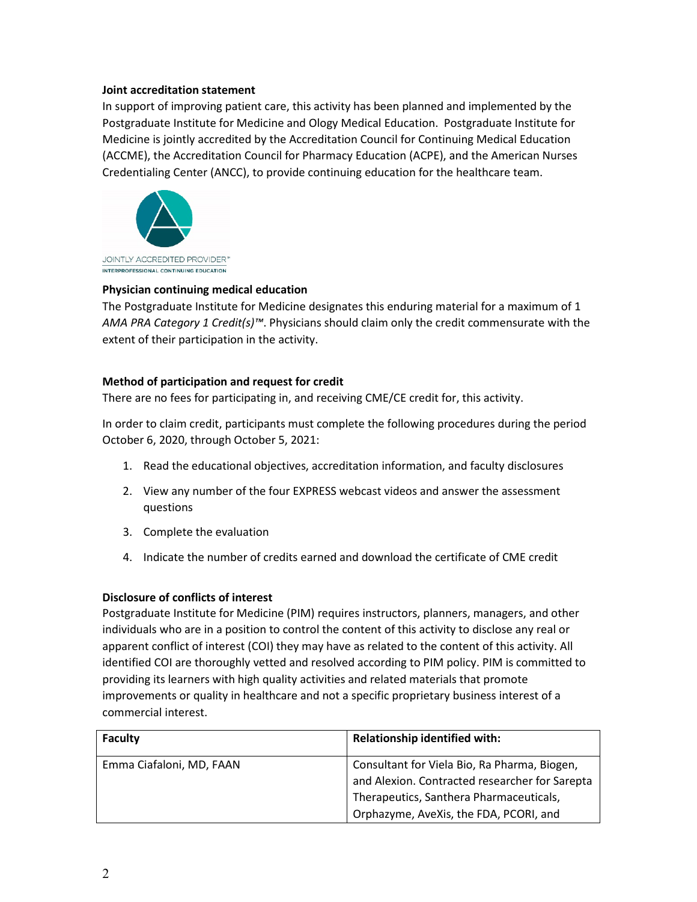# **Joint accreditation statement**

In support of improving patient care, this activity has been planned and implemented by the Postgraduate Institute for Medicine and Ology Medical Education. Postgraduate Institute for Medicine is jointly accredited by the Accreditation Council for Continuing Medical Education (ACCME), the Accreditation Council for Pharmacy Education (ACPE), and the American Nurses Credentialing Center (ANCC), to provide continuing education for the healthcare team.



# **Physician continuing medical education**

The Postgraduate Institute for Medicine designates this enduring material for a maximum of 1 *AMA PRA Category 1 Credit(s)™*. Physicians should claim only the credit commensurate with the extent of their participation in the activity.

# **Method of participation and request for credit**

There are no fees for participating in, and receiving CME/CE credit for, this activity.

In order to claim credit, participants must complete the following procedures during the period October 6, 2020, through October 5, 2021:

- 1. Read the educational objectives, accreditation information, and faculty disclosures
- 2. View any number of the four EXPRESS webcast videos and answer the assessment questions
- 3. Complete the evaluation
- 4. Indicate the number of credits earned and download the certificate of CME credit

### **Disclosure of conflicts of interest**

Postgraduate Institute for Medicine (PIM) requires instructors, planners, managers, and other individuals who are in a position to control the content of this activity to disclose any real or apparent conflict of interest (COI) they may have as related to the content of this activity. All identified COI are thoroughly vetted and resolved according to PIM policy. PIM is committed to providing its learners with high quality activities and related materials that promote improvements or quality in healthcare and not a specific proprietary business interest of a commercial interest.

| <b>Faculty</b>           | <b>Relationship identified with:</b>           |
|--------------------------|------------------------------------------------|
| Emma Ciafaloni, MD, FAAN | Consultant for Viela Bio, Ra Pharma, Biogen,   |
|                          | and Alexion. Contracted researcher for Sarepta |
|                          | Therapeutics, Santhera Pharmaceuticals,        |
|                          | Orphazyme, AveXis, the FDA, PCORI, and         |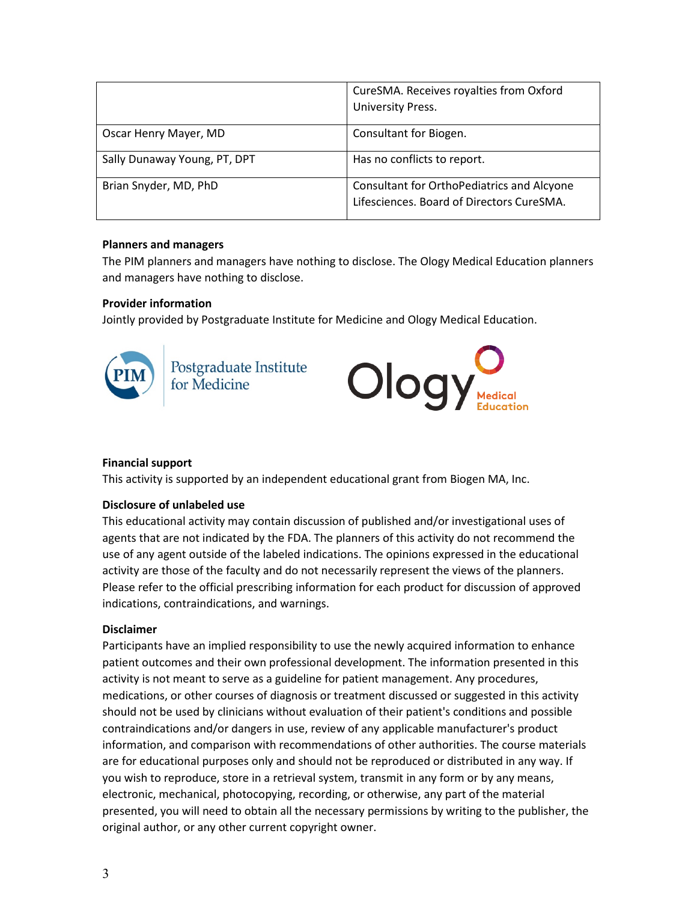|                              | CureSMA. Receives royalties from Oxford<br>University Press.                            |
|------------------------------|-----------------------------------------------------------------------------------------|
| Oscar Henry Mayer, MD        | Consultant for Biogen.                                                                  |
| Sally Dunaway Young, PT, DPT | Has no conflicts to report.                                                             |
| Brian Snyder, MD, PhD        | Consultant for OrthoPediatrics and Alcyone<br>Lifesciences. Board of Directors CureSMA. |

### **Planners and managers**

The PIM planners and managers have nothing to disclose. The Ology Medical Education planners and managers have nothing to disclose.

# **Provider information**

Jointly provided by Postgraduate Institute for Medicine and Ology Medical Education.



Postgraduate Institute<br>for Medicine



# **Financial support**

This activity is supported by an independent educational grant from Biogen MA, Inc.

### **Disclosure of unlabeled use**

This educational activity may contain discussion of published and/or investigational uses of agents that are not indicated by the FDA. The planners of this activity do not recommend the use of any agent outside of the labeled indications. The opinions expressed in the educational activity are those of the faculty and do not necessarily represent the views of the planners. Please refer to the official prescribing information for each product for discussion of approved indications, contraindications, and warnings.

### **Disclaimer**

Participants have an implied responsibility to use the newly acquired information to enhance patient outcomes and their own professional development. The information presented in this activity is not meant to serve as a guideline for patient management. Any procedures, medications, or other courses of diagnosis or treatment discussed or suggested in this activity should not be used by clinicians without evaluation of their patient's conditions and possible contraindications and/or dangers in use, review of any applicable manufacturer's product information, and comparison with recommendations of other authorities. The course materials are for educational purposes only and should not be reproduced or distributed in any way. If you wish to reproduce, store in a retrieval system, transmit in any form or by any means, electronic, mechanical, photocopying, recording, or otherwise, any part of the material presented, you will need to obtain all the necessary permissions by writing to the publisher, the original author, or any other current copyright owner.